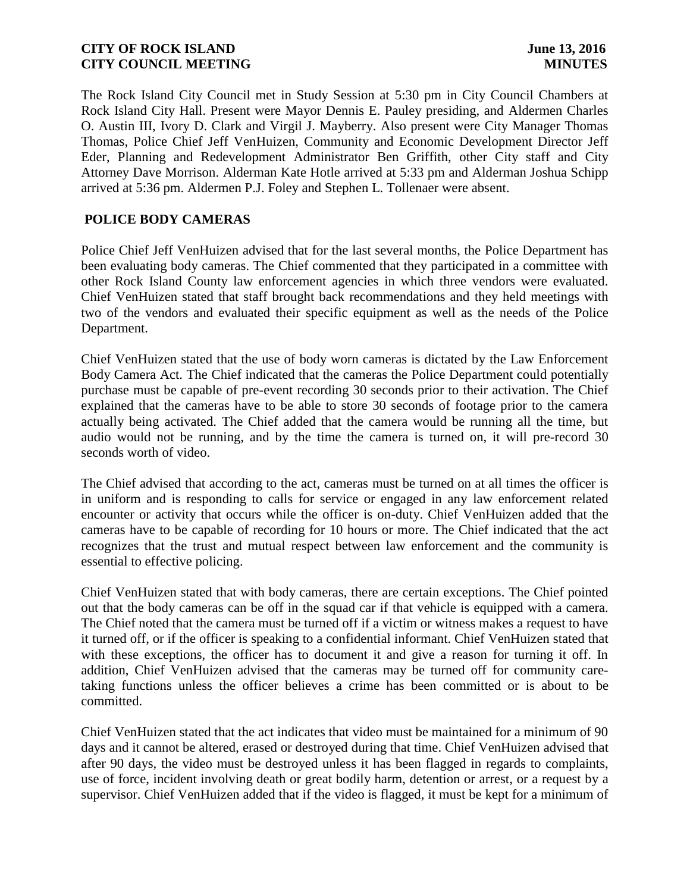The Rock Island City Council met in Study Session at 5:30 pm in City Council Chambers at Rock Island City Hall. Present were Mayor Dennis E. Pauley presiding, and Aldermen Charles O. Austin III, Ivory D. Clark and Virgil J. Mayberry. Also present were City Manager Thomas Thomas, Police Chief Jeff VenHuizen, Community and Economic Development Director Jeff Eder, Planning and Redevelopment Administrator Ben Griffith, other City staff and City Attorney Dave Morrison. Alderman Kate Hotle arrived at 5:33 pm and Alderman Joshua Schipp arrived at 5:36 pm. Aldermen P.J. Foley and Stephen L. Tollenaer were absent.

# **POLICE BODY CAMERAS**

Police Chief Jeff VenHuizen advised that for the last several months, the Police Department has been evaluating body cameras. The Chief commented that they participated in a committee with other Rock Island County law enforcement agencies in which three vendors were evaluated. Chief VenHuizen stated that staff brought back recommendations and they held meetings with two of the vendors and evaluated their specific equipment as well as the needs of the Police Department.

Chief VenHuizen stated that the use of body worn cameras is dictated by the Law Enforcement Body Camera Act. The Chief indicated that the cameras the Police Department could potentially purchase must be capable of pre-event recording 30 seconds prior to their activation. The Chief explained that the cameras have to be able to store 30 seconds of footage prior to the camera actually being activated. The Chief added that the camera would be running all the time, but audio would not be running, and by the time the camera is turned on, it will pre-record 30 seconds worth of video.

The Chief advised that according to the act, cameras must be turned on at all times the officer is in uniform and is responding to calls for service or engaged in any law enforcement related encounter or activity that occurs while the officer is on-duty. Chief VenHuizen added that the cameras have to be capable of recording for 10 hours or more. The Chief indicated that the act recognizes that the trust and mutual respect between law enforcement and the community is essential to effective policing.

Chief VenHuizen stated that with body cameras, there are certain exceptions. The Chief pointed out that the body cameras can be off in the squad car if that vehicle is equipped with a camera. The Chief noted that the camera must be turned off if a victim or witness makes a request to have it turned off, or if the officer is speaking to a confidential informant. Chief VenHuizen stated that with these exceptions, the officer has to document it and give a reason for turning it off. In addition, Chief VenHuizen advised that the cameras may be turned off for community caretaking functions unless the officer believes a crime has been committed or is about to be committed.

Chief VenHuizen stated that the act indicates that video must be maintained for a minimum of 90 days and it cannot be altered, erased or destroyed during that time. Chief VenHuizen advised that after 90 days, the video must be destroyed unless it has been flagged in regards to complaints, use of force, incident involving death or great bodily harm, detention or arrest, or a request by a supervisor. Chief VenHuizen added that if the video is flagged, it must be kept for a minimum of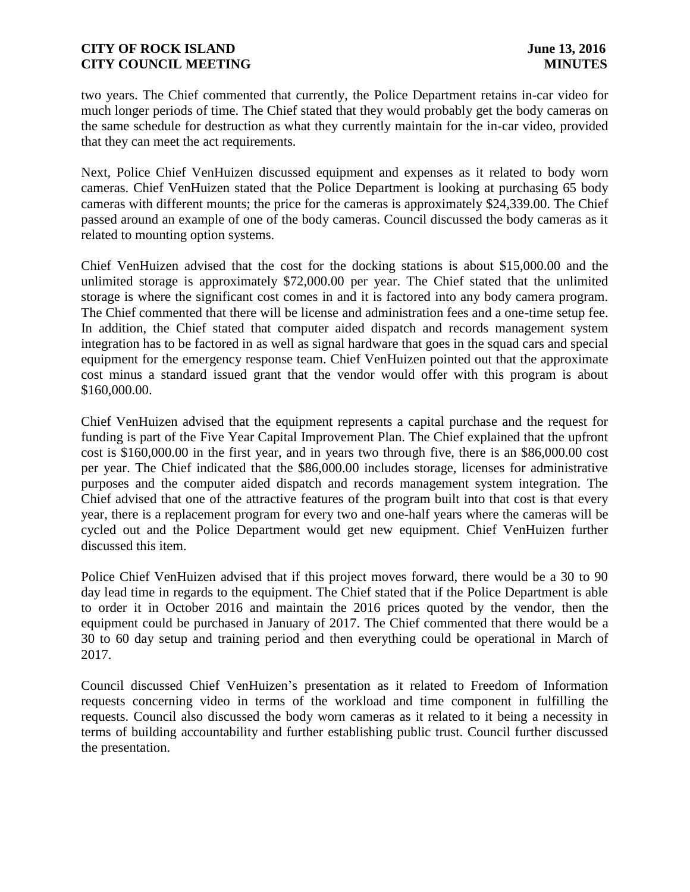two years. The Chief commented that currently, the Police Department retains in-car video for much longer periods of time. The Chief stated that they would probably get the body cameras on the same schedule for destruction as what they currently maintain for the in-car video, provided that they can meet the act requirements.

Next, Police Chief VenHuizen discussed equipment and expenses as it related to body worn cameras. Chief VenHuizen stated that the Police Department is looking at purchasing 65 body cameras with different mounts; the price for the cameras is approximately \$24,339.00. The Chief passed around an example of one of the body cameras. Council discussed the body cameras as it related to mounting option systems.

Chief VenHuizen advised that the cost for the docking stations is about \$15,000.00 and the unlimited storage is approximately \$72,000.00 per year. The Chief stated that the unlimited storage is where the significant cost comes in and it is factored into any body camera program. The Chief commented that there will be license and administration fees and a one-time setup fee. In addition, the Chief stated that computer aided dispatch and records management system integration has to be factored in as well as signal hardware that goes in the squad cars and special equipment for the emergency response team. Chief VenHuizen pointed out that the approximate cost minus a standard issued grant that the vendor would offer with this program is about \$160,000.00.

Chief VenHuizen advised that the equipment represents a capital purchase and the request for funding is part of the Five Year Capital Improvement Plan. The Chief explained that the upfront cost is \$160,000.00 in the first year, and in years two through five, there is an \$86,000.00 cost per year. The Chief indicated that the \$86,000.00 includes storage, licenses for administrative purposes and the computer aided dispatch and records management system integration. The Chief advised that one of the attractive features of the program built into that cost is that every year, there is a replacement program for every two and one-half years where the cameras will be cycled out and the Police Department would get new equipment. Chief VenHuizen further discussed this item.

Police Chief VenHuizen advised that if this project moves forward, there would be a 30 to 90 day lead time in regards to the equipment. The Chief stated that if the Police Department is able to order it in October 2016 and maintain the 2016 prices quoted by the vendor, then the equipment could be purchased in January of 2017. The Chief commented that there would be a 30 to 60 day setup and training period and then everything could be operational in March of 2017.

Council discussed Chief VenHuizen's presentation as it related to Freedom of Information requests concerning video in terms of the workload and time component in fulfilling the requests. Council also discussed the body worn cameras as it related to it being a necessity in terms of building accountability and further establishing public trust. Council further discussed the presentation.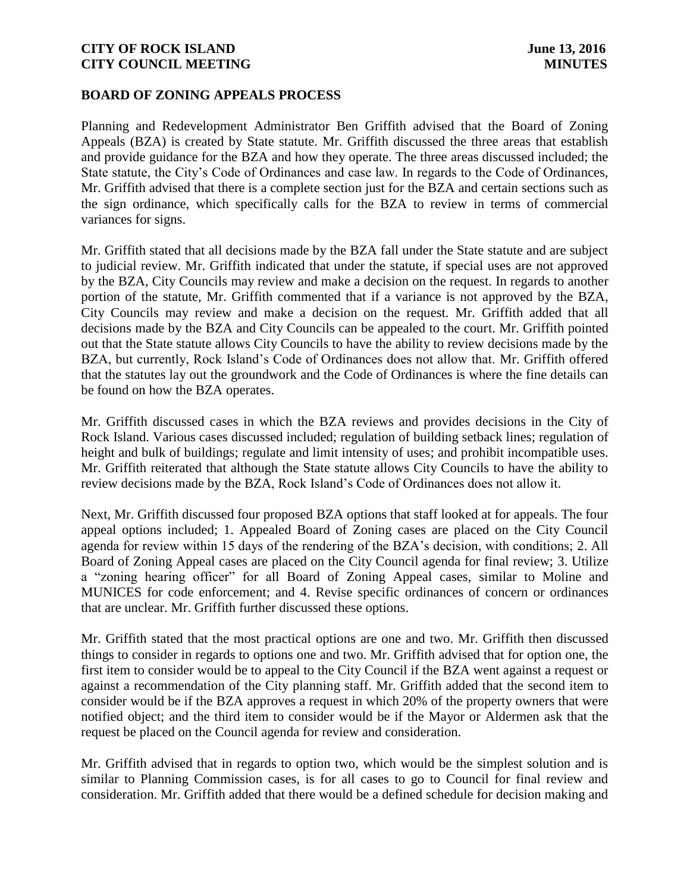### **BOARD OF ZONING APPEALS PROCESS**

Planning and Redevelopment Administrator Ben Griffith advised that the Board of Zoning Appeals (BZA) is created by State statute. Mr. Griffith discussed the three areas that establish and provide guidance for the BZA and how they operate. The three areas discussed included; the State statute, the City's Code of Ordinances and case law. In regards to the Code of Ordinances, Mr. Griffith advised that there is a complete section just for the BZA and certain sections such as the sign ordinance, which specifically calls for the BZA to review in terms of commercial variances for signs.

Mr. Griffith stated that all decisions made by the BZA fall under the State statute and are subject to judicial review. Mr. Griffith indicated that under the statute, if special uses are not approved by the BZA, City Councils may review and make a decision on the request. In regards to another portion of the statute, Mr. Griffith commented that if a variance is not approved by the BZA, City Councils may review and make a decision on the request. Mr. Griffith added that all decisions made by the BZA and City Councils can be appealed to the court. Mr. Griffith pointed out that the State statute allows City Councils to have the ability to review decisions made by the BZA, but currently, Rock Island's Code of Ordinances does not allow that. Mr. Griffith offered that the statutes lay out the groundwork and the Code of Ordinances is where the fine details can be found on how the BZA operates.

Mr. Griffith discussed cases in which the BZA reviews and provides decisions in the City of Rock Island. Various cases discussed included; regulation of building setback lines; regulation of height and bulk of buildings; regulate and limit intensity of uses; and prohibit incompatible uses. Mr. Griffith reiterated that although the State statute allows City Councils to have the ability to review decisions made by the BZA, Rock Island's Code of Ordinances does not allow it.

Next, Mr. Griffith discussed four proposed BZA options that staff looked at for appeals. The four appeal options included; 1. Appealed Board of Zoning cases are placed on the City Council agenda for review within 15 days of the rendering of the BZA's decision, with conditions; 2. All Board of Zoning Appeal cases are placed on the City Council agenda for final review; 3. Utilize a "zoning hearing officer" for all Board of Zoning Appeal cases, similar to Moline and MUNICES for code enforcement; and 4. Revise specific ordinances of concern or ordinances that are unclear. Mr. Griffith further discussed these options.

Mr. Griffith stated that the most practical options are one and two. Mr. Griffith then discussed things to consider in regards to options one and two. Mr. Griffith advised that for option one, the first item to consider would be to appeal to the City Council if the BZA went against a request or against a recommendation of the City planning staff. Mr. Griffith added that the second item to consider would be if the BZA approves a request in which 20% of the property owners that were notified object; and the third item to consider would be if the Mayor or Aldermen ask that the request be placed on the Council agenda for review and consideration.

Mr. Griffith advised that in regards to option two, which would be the simplest solution and is similar to Planning Commission cases, is for all cases to go to Council for final review and consideration. Mr. Griffith added that there would be a defined schedule for decision making and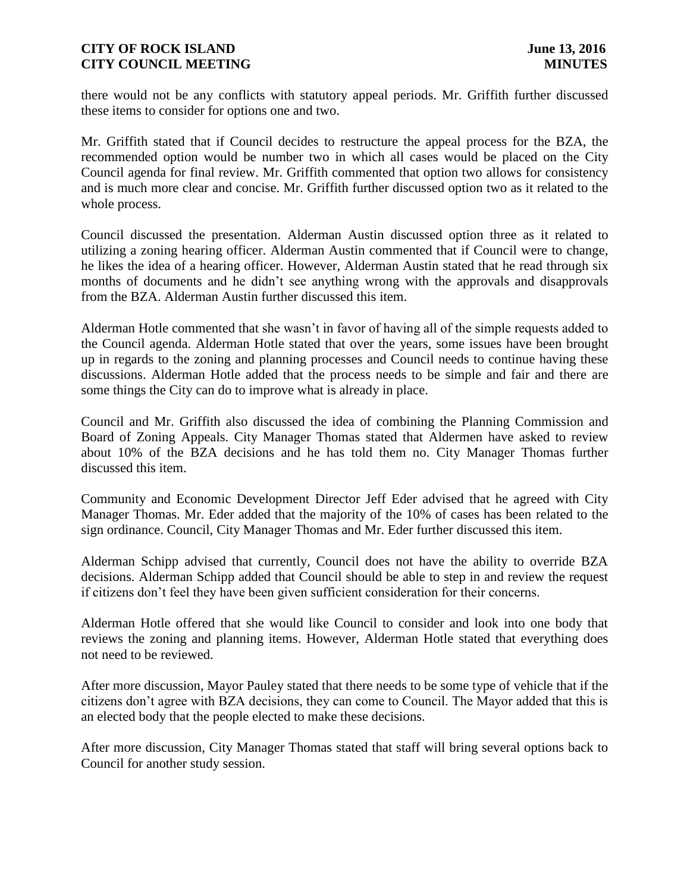there would not be any conflicts with statutory appeal periods. Mr. Griffith further discussed these items to consider for options one and two.

Mr. Griffith stated that if Council decides to restructure the appeal process for the BZA, the recommended option would be number two in which all cases would be placed on the City Council agenda for final review. Mr. Griffith commented that option two allows for consistency and is much more clear and concise. Mr. Griffith further discussed option two as it related to the whole process.

Council discussed the presentation. Alderman Austin discussed option three as it related to utilizing a zoning hearing officer. Alderman Austin commented that if Council were to change, he likes the idea of a hearing officer. However, Alderman Austin stated that he read through six months of documents and he didn't see anything wrong with the approvals and disapprovals from the BZA. Alderman Austin further discussed this item.

Alderman Hotle commented that she wasn't in favor of having all of the simple requests added to the Council agenda. Alderman Hotle stated that over the years, some issues have been brought up in regards to the zoning and planning processes and Council needs to continue having these discussions. Alderman Hotle added that the process needs to be simple and fair and there are some things the City can do to improve what is already in place.

Council and Mr. Griffith also discussed the idea of combining the Planning Commission and Board of Zoning Appeals. City Manager Thomas stated that Aldermen have asked to review about 10% of the BZA decisions and he has told them no. City Manager Thomas further discussed this item.

Community and Economic Development Director Jeff Eder advised that he agreed with City Manager Thomas. Mr. Eder added that the majority of the 10% of cases has been related to the sign ordinance. Council, City Manager Thomas and Mr. Eder further discussed this item.

Alderman Schipp advised that currently, Council does not have the ability to override BZA decisions. Alderman Schipp added that Council should be able to step in and review the request if citizens don't feel they have been given sufficient consideration for their concerns.

Alderman Hotle offered that she would like Council to consider and look into one body that reviews the zoning and planning items. However, Alderman Hotle stated that everything does not need to be reviewed.

After more discussion, Mayor Pauley stated that there needs to be some type of vehicle that if the citizens don't agree with BZA decisions, they can come to Council. The Mayor added that this is an elected body that the people elected to make these decisions.

After more discussion, City Manager Thomas stated that staff will bring several options back to Council for another study session.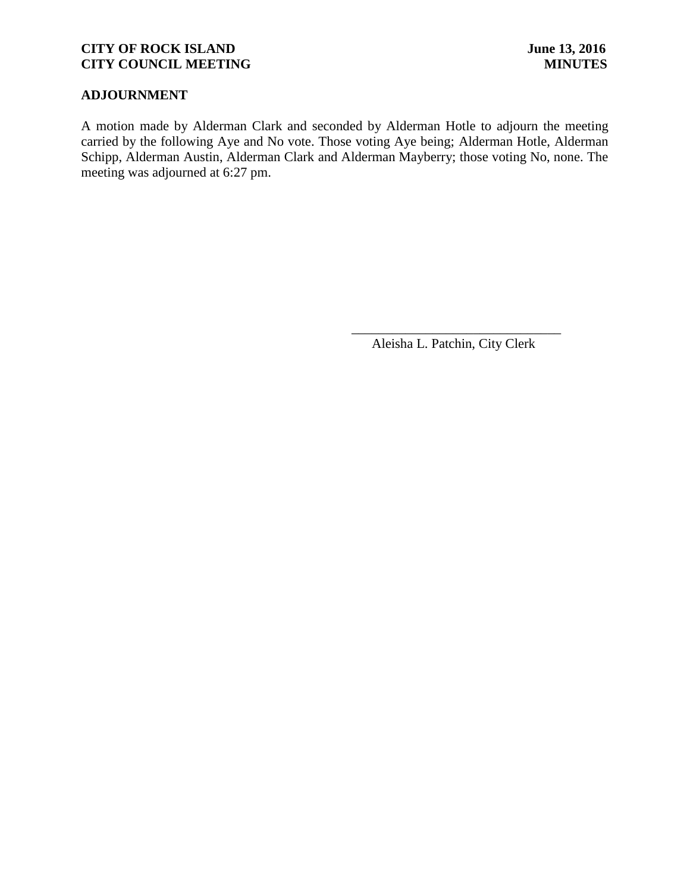# **ADJOURNMENT**

A motion made by Alderman Clark and seconded by Alderman Hotle to adjourn the meeting carried by the following Aye and No vote. Those voting Aye being; Alderman Hotle, Alderman Schipp, Alderman Austin, Alderman Clark and Alderman Mayberry; those voting No, none. The meeting was adjourned at 6:27 pm.

 $\overline{\phantom{a}}$  , and the contract of the contract of the contract of the contract of the contract of the contract of the contract of the contract of the contract of the contract of the contract of the contract of the contrac

Aleisha L. Patchin, City Clerk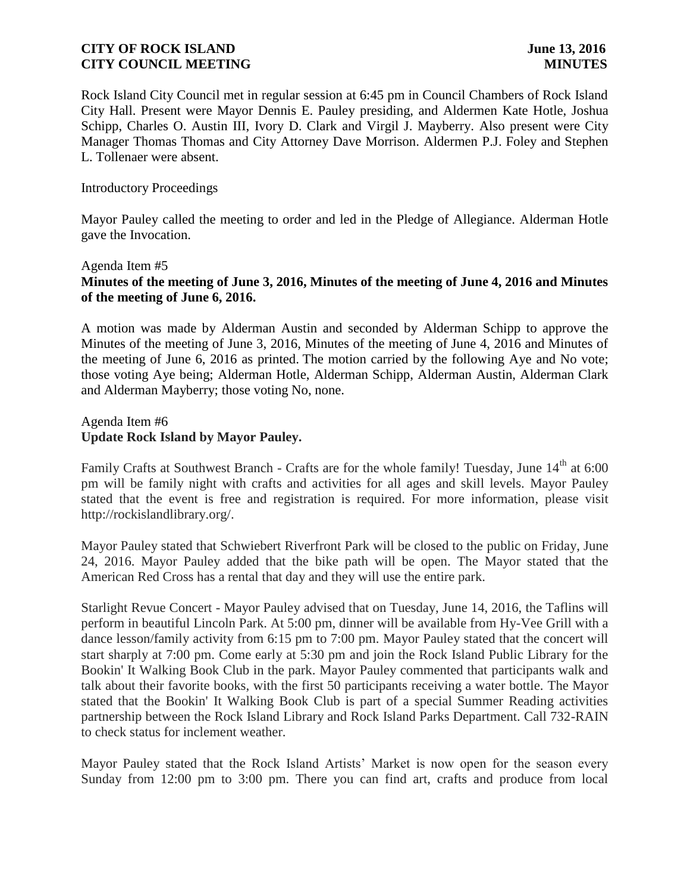Rock Island City Council met in regular session at 6:45 pm in Council Chambers of Rock Island City Hall. Present were Mayor Dennis E. Pauley presiding, and Aldermen Kate Hotle, Joshua Schipp, Charles O. Austin III, Ivory D. Clark and Virgil J. Mayberry. Also present were City Manager Thomas Thomas and City Attorney Dave Morrison. Aldermen P.J. Foley and Stephen L. Tollenaer were absent.

### Introductory Proceedings

Mayor Pauley called the meeting to order and led in the Pledge of Allegiance. Alderman Hotle gave the Invocation.

### Agenda Item #5

# **Minutes of the meeting of June 3, 2016, Minutes of the meeting of June 4, 2016 and Minutes of the meeting of June 6, 2016.**

A motion was made by Alderman Austin and seconded by Alderman Schipp to approve the Minutes of the meeting of June 3, 2016, Minutes of the meeting of June 4, 2016 and Minutes of the meeting of June 6, 2016 as printed. The motion carried by the following Aye and No vote; those voting Aye being; Alderman Hotle, Alderman Schipp, Alderman Austin, Alderman Clark and Alderman Mayberry; those voting No, none.

### Agenda Item #6 **Update Rock Island by Mayor Pauley.**

Family Crafts at Southwest Branch - Crafts are for the whole family! Tuesday, June 14<sup>th</sup> at 6:00 pm will be family night with crafts and activities for all ages and skill levels. Mayor Pauley stated that the event is free and registration is required. For more information, please visit http://rockislandlibrary.org/.

Mayor Pauley stated that Schwiebert Riverfront Park will be closed to the public on Friday, June 24, 2016. Mayor Pauley added that the bike path will be open. The Mayor stated that the American Red Cross has a rental that day and they will use the entire park.

Starlight Revue Concert - Mayor Pauley advised that on Tuesday, June 14, 2016, the Taflins will perform in beautiful Lincoln Park. At 5:00 pm, dinner will be available from Hy-Vee Grill with a dance lesson/family activity from 6:15 pm to 7:00 pm. Mayor Pauley stated that the concert will start sharply at 7:00 pm. Come early at 5:30 pm and join the Rock Island Public Library for the Bookin' It Walking Book Club in the park. Mayor Pauley commented that participants walk and talk about their favorite books, with the first 50 participants receiving a water bottle. The Mayor stated that the Bookin' It Walking Book Club is part of a special Summer Reading activities partnership between the Rock Island Library and Rock Island Parks Department. Call 732-RAIN to check status for inclement weather.

Mayor Pauley stated that the Rock Island Artists' Market is now open for the season every Sunday from 12:00 pm to 3:00 pm. There you can find art, crafts and produce from local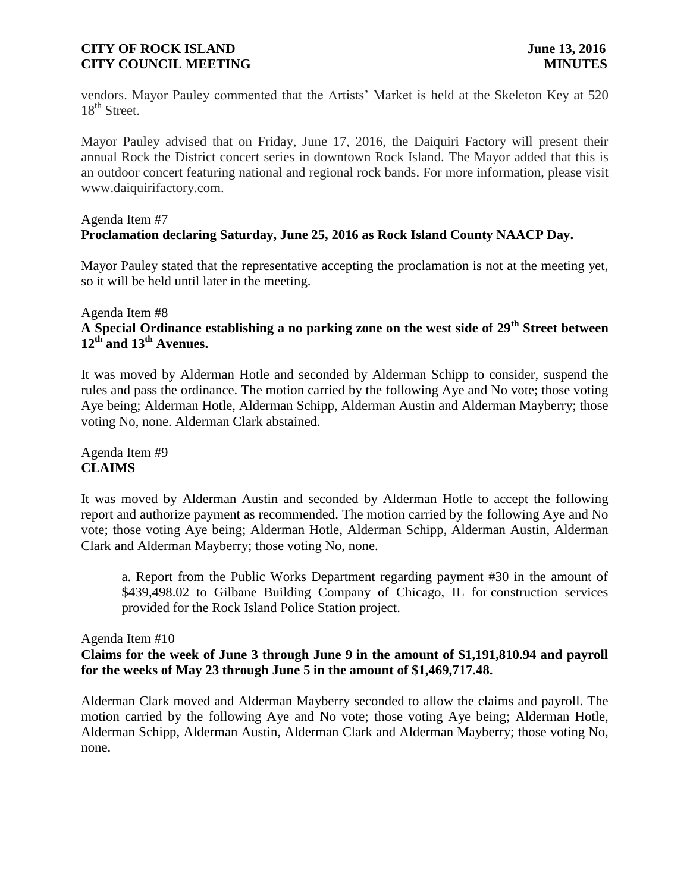vendors. Mayor Pauley commented that the Artists' Market is held at the Skeleton Key at 520  $18^{th}$  Street.

Mayor Pauley advised that on Friday, June 17, 2016, the Daiquiri Factory will present their annual Rock the District concert series in downtown Rock Island. The Mayor added that this is an outdoor concert featuring national and regional rock bands. For more information, please visit www.daiquirifactory.com.

# Agenda Item #7 **Proclamation declaring Saturday, June 25, 2016 as Rock Island County NAACP Day.**

Mayor Pauley stated that the representative accepting the proclamation is not at the meeting yet, so it will be held until later in the meeting.

### Agenda Item #8

# **A Special Ordinance establishing a no parking zone on the west side of 29th Street between 12th and 13th Avenues.**

It was moved by Alderman Hotle and seconded by Alderman Schipp to consider, suspend the rules and pass the ordinance. The motion carried by the following Aye and No vote; those voting Aye being; Alderman Hotle, Alderman Schipp, Alderman Austin and Alderman Mayberry; those voting No, none. Alderman Clark abstained.

Agenda Item #9 **CLAIMS**

It was moved by Alderman Austin and seconded by Alderman Hotle to accept the following report and authorize payment as recommended. The motion carried by the following Aye and No vote; those voting Aye being; Alderman Hotle, Alderman Schipp, Alderman Austin, Alderman Clark and Alderman Mayberry; those voting No, none.

a. Report from the Public Works Department regarding payment #30 in the amount of \$439,498.02 to Gilbane Building Company of Chicago, IL for construction services provided for the Rock Island Police Station project.

Agenda Item #10

# **Claims for the week of June 3 through June 9 in the amount of \$1,191,810.94 and payroll for the weeks of May 23 through June 5 in the amount of \$1,469,717.48.**

Alderman Clark moved and Alderman Mayberry seconded to allow the claims and payroll. The motion carried by the following Aye and No vote; those voting Aye being; Alderman Hotle, Alderman Schipp, Alderman Austin, Alderman Clark and Alderman Mayberry; those voting No, none.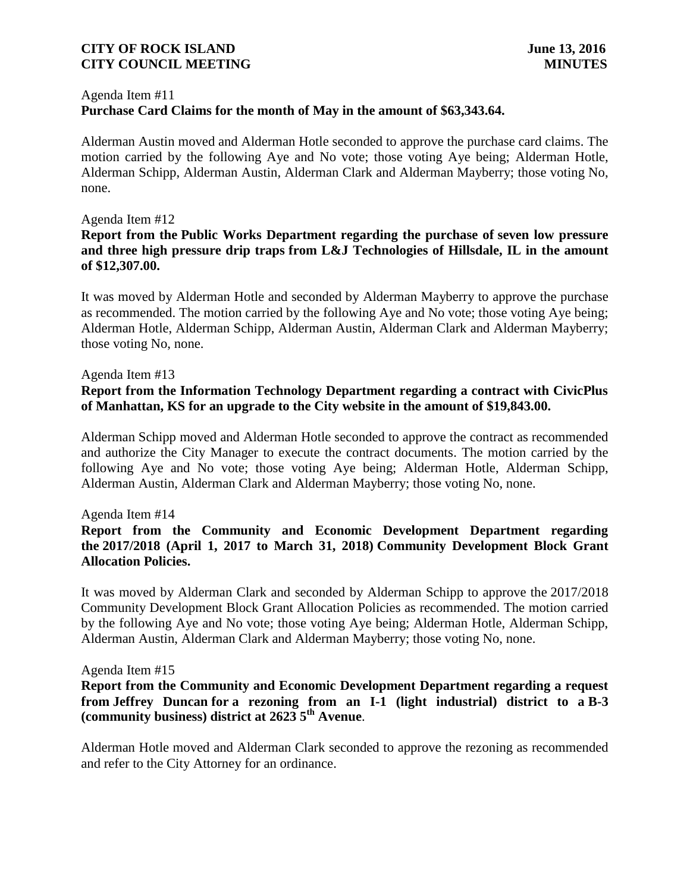### Agenda Item #11 **Purchase Card Claims for the month of May in the amount of \$63,343.64.**

Alderman Austin moved and Alderman Hotle seconded to approve the purchase card claims. The motion carried by the following Aye and No vote; those voting Aye being; Alderman Hotle, Alderman Schipp, Alderman Austin, Alderman Clark and Alderman Mayberry; those voting No, none.

### Agenda Item #12

# **Report from the Public Works Department regarding the purchase of seven low pressure and three high pressure drip traps from L&J Technologies of Hillsdale, IL in the amount of \$12,307.00.**

It was moved by Alderman Hotle and seconded by Alderman Mayberry to approve the purchase as recommended. The motion carried by the following Aye and No vote; those voting Aye being; Alderman Hotle, Alderman Schipp, Alderman Austin, Alderman Clark and Alderman Mayberry; those voting No, none.

### Agenda Item #13

# **Report from the Information Technology Department regarding a contract with CivicPlus of Manhattan, KS for an upgrade to the City website in the amount of \$19,843.00.**

Alderman Schipp moved and Alderman Hotle seconded to approve the contract as recommended and authorize the City Manager to execute the contract documents. The motion carried by the following Aye and No vote; those voting Aye being; Alderman Hotle, Alderman Schipp, Alderman Austin, Alderman Clark and Alderman Mayberry; those voting No, none.

### Agenda Item #14

# **Report from the Community and Economic Development Department regarding the 2017/2018 (April 1, 2017 to March 31, 2018) Community Development Block Grant Allocation Policies.**

It was moved by Alderman Clark and seconded by Alderman Schipp to approve the 2017/2018 Community Development Block Grant Allocation Policies as recommended. The motion carried by the following Aye and No vote; those voting Aye being; Alderman Hotle, Alderman Schipp, Alderman Austin, Alderman Clark and Alderman Mayberry; those voting No, none.

#### Agenda Item #15

# **Report from the Community and Economic Development Department regarding a request from Jeffrey Duncan for a rezoning from an I-1 (light industrial) district to a B-3 (community business) district at 2623 5th Avenue**.

Alderman Hotle moved and Alderman Clark seconded to approve the rezoning as recommended and refer to the City Attorney for an ordinance.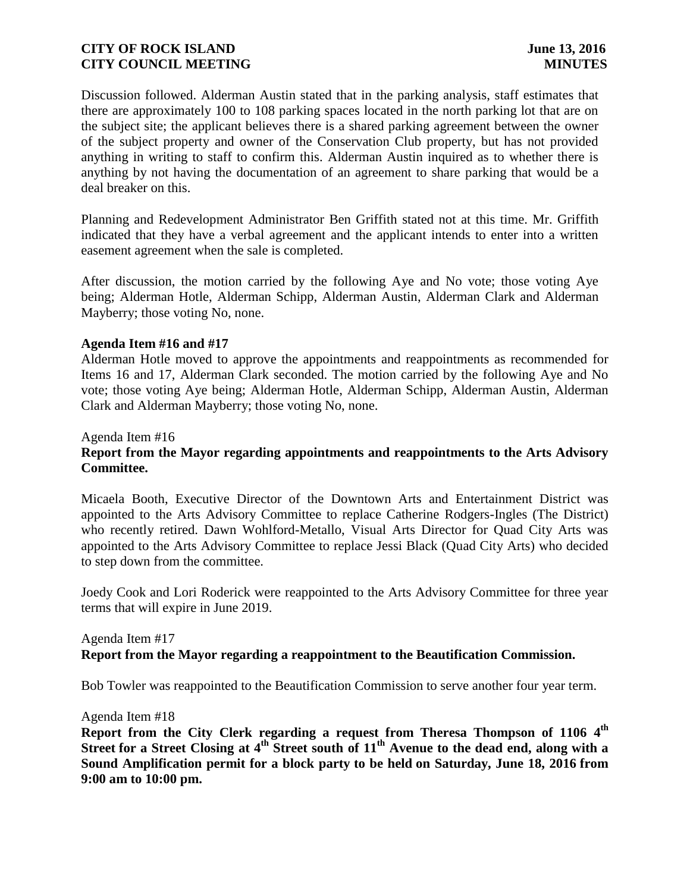Discussion followed. Alderman Austin stated that in the parking analysis, staff estimates that there are approximately 100 to 108 parking spaces located in the north parking lot that are on the subject site; the applicant believes there is a shared parking agreement between the owner of the subject property and owner of the Conservation Club property, but has not provided anything in writing to staff to confirm this. Alderman Austin inquired as to whether there is anything by not having the documentation of an agreement to share parking that would be a deal breaker on this.

Planning and Redevelopment Administrator Ben Griffith stated not at this time. Mr. Griffith indicated that they have a verbal agreement and the applicant intends to enter into a written easement agreement when the sale is completed.

After discussion, the motion carried by the following Aye and No vote; those voting Aye being; Alderman Hotle, Alderman Schipp, Alderman Austin, Alderman Clark and Alderman Mayberry; those voting No, none.

### **Agenda Item #16 and #17**

Alderman Hotle moved to approve the appointments and reappointments as recommended for Items 16 and 17, Alderman Clark seconded. The motion carried by the following Aye and No vote; those voting Aye being; Alderman Hotle, Alderman Schipp, Alderman Austin, Alderman Clark and Alderman Mayberry; those voting No, none.

### Agenda Item #16

## **Report from the Mayor regarding appointments and reappointments to the Arts Advisory Committee.**

Micaela Booth, Executive Director of the Downtown Arts and Entertainment District was appointed to the Arts Advisory Committee to replace Catherine Rodgers-Ingles (The District) who recently retired. Dawn Wohlford-Metallo, Visual Arts Director for Quad City Arts was appointed to the Arts Advisory Committee to replace Jessi Black (Quad City Arts) who decided to step down from the committee.

Joedy Cook and Lori Roderick were reappointed to the Arts Advisory Committee for three year terms that will expire in June 2019.

### Agenda Item #17 **Report from the Mayor regarding a reappointment to the Beautification Commission.**

Bob Towler was reappointed to the Beautification Commission to serve another four year term.

#### Agenda Item #18

**Report from the City Clerk regarding a request from Theresa Thompson of 1106 4 th Street for a Street Closing at 4th Street south of 11th Avenue to the dead end, along with a Sound Amplification permit for a block party to be held on Saturday, June 18, 2016 from 9:00 am to 10:00 pm.**